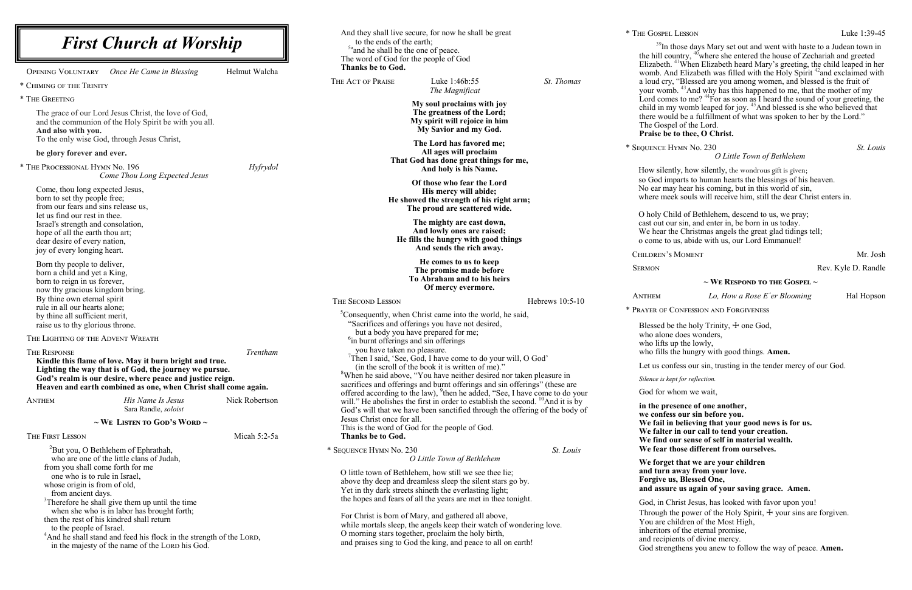**EXECUTE:** HYMN No. 230 *St. Louis O Little Town of Bethlehem*

ently, how silently, the wondrous gift is given; imparts to human hearts the blessings of his heaven. may hear his coming, but in this world of sin, neek souls will receive him, still the dear Christ enters in.

Child of Bethlehem, descend to us, we pray; our sin, and enter in, be born in us today. the Christmas angels the great glad tidings tell; to us, abide with us, our Lord Emmanuel!

Children's Moment Mr. Josh

Rev. Kyle D. Randle

| <b>First Church at Worship</b>                                                                                       |                                        |              | And they shall live secure, for now he shall be great<br>to the ends of the earth;<br><sup>5a</sup> and he shall be the one of peace.<br>The word of God for the people of God |                                                                                                                         | * THE GOSP<br>$^{39}$ I<br>the hill |                     |
|----------------------------------------------------------------------------------------------------------------------|----------------------------------------|--------------|--------------------------------------------------------------------------------------------------------------------------------------------------------------------------------|-------------------------------------------------------------------------------------------------------------------------|-------------------------------------|---------------------|
| Once He Came in Blessing<br>OPENING VOLUNTARY                                                                        | Helmut Walcha                          |              | Thanks be to God.                                                                                                                                                              |                                                                                                                         |                                     | Elizabet<br>womb.   |
| * CHIMING OF THE TRINITY                                                                                             |                                        |              | THE ACT OF PRAISE                                                                                                                                                              | Luke 1:46b:55                                                                                                           | St. Thomas                          | a loud c            |
|                                                                                                                      |                                        |              |                                                                                                                                                                                | The Magnificat                                                                                                          |                                     | your wo             |
| * THE GREETING                                                                                                       |                                        |              |                                                                                                                                                                                | My soul proclaims with joy                                                                                              |                                     | Lord co<br>child in |
| The grace of our Lord Jesus Christ, the love of God,                                                                 |                                        |              |                                                                                                                                                                                | The greatness of the Lord;<br>My spirit will rejoice in him                                                             |                                     | there wo            |
| and the communion of the Holy Spirit be with you all.<br>And also with you.                                          |                                        |              |                                                                                                                                                                                | My Savior and my God.                                                                                                   |                                     | The Gos<br>Praise l |
| To the only wise God, through Jesus Christ,                                                                          |                                        |              |                                                                                                                                                                                | The Lord has favored me;                                                                                                |                                     |                     |
| be glory forever and ever.                                                                                           |                                        |              |                                                                                                                                                                                | All ages will proclaim                                                                                                  |                                     | * SEQUENCE          |
| * THE PROCESSIONAL HYMN No. 196<br>Hyfrydol                                                                          |                                        |              | That God has done great things for me,<br>And holy is his Name.                                                                                                                |                                                                                                                         |                                     |                     |
|                                                                                                                      | Come Thou Long Expected Jesus          |              |                                                                                                                                                                                |                                                                                                                         |                                     | How sil<br>so God   |
| Come, thou long expected Jesus,                                                                                      |                                        |              |                                                                                                                                                                                | Of those who fear the Lord<br>His mercy will abide;                                                                     |                                     | No ear r            |
| born to set thy people free;                                                                                         |                                        |              | He showed the strength of his right arm;                                                                                                                                       |                                                                                                                         | where n                             |                     |
| from our fears and sins release us,                                                                                  |                                        |              |                                                                                                                                                                                | The proud are scattered wide.                                                                                           |                                     | O holy 0            |
| let us find our rest in thee.<br>Israel's strength and consolation,                                                  |                                        |              |                                                                                                                                                                                | The mighty are cast down,                                                                                               |                                     | cast out            |
| hope of all the earth thou art;                                                                                      |                                        |              |                                                                                                                                                                                | And lowly ones are raised;                                                                                              |                                     | We hear             |
| dear desire of every nation,                                                                                         |                                        |              |                                                                                                                                                                                | He fills the hungry with good things<br>And sends the rich away.                                                        |                                     | o come              |
| joy of every longing heart.                                                                                          |                                        |              |                                                                                                                                                                                |                                                                                                                         |                                     | <b>CHILDREN</b>     |
| Born thy people to deliver,                                                                                          |                                        |              |                                                                                                                                                                                | He comes to us to keep<br>The promise made before                                                                       |                                     | <b>SERMON</b>       |
| born a child and yet a King,<br>born to reign in us forever,                                                         |                                        |              | To Abraham and to his heirs                                                                                                                                                    |                                                                                                                         |                                     |                     |
| now thy gracious kingdom bring.                                                                                      |                                        |              |                                                                                                                                                                                | Of mercy evermore.                                                                                                      |                                     |                     |
| By thine own eternal spirit                                                                                          |                                        |              | THE SECOND LESSON                                                                                                                                                              |                                                                                                                         | Hebrews 10:5-10                     | <b>ANTHEM</b>       |
| rule in all our hearts alone;<br>by thine all sufficient merit,                                                      |                                        |              |                                                                                                                                                                                | <sup>5</sup> Consequently, when Christ came into the world, he said,                                                    |                                     | * PRAYER OI         |
| raise us to thy glorious throne.                                                                                     |                                        |              | "Sacrifices and offerings you have not desired,                                                                                                                                |                                                                                                                         | Blessed                             |                     |
| THE LIGHTING OF THE ADVENT WREATH                                                                                    |                                        |              |                                                                                                                                                                                | but a body you have prepared for me;                                                                                    |                                     | who alo             |
|                                                                                                                      |                                        |              | <sup>6</sup> in burnt offerings and sin offerings<br>you have taken no pleasure.                                                                                               |                                                                                                                         |                                     | who lift            |
| <b>THE RESPONSE</b><br>Kindle this flame of love. May it burn bright and true.                                       |                                        | Trentham     |                                                                                                                                                                                | <sup>7</sup> Then I said, 'See, God, I have come to do your will, O God'                                                |                                     | who fill            |
| Lighting the way that is of God, the journey we pursue.<br>God's realm is our desire, where peace and justice reign. |                                        |              | (in the scroll of the book it is written of me)."<br><sup>8</sup> When he said above, "You have neither desired nor taken pleasure in                                          |                                                                                                                         | Let us c                            |                     |
|                                                                                                                      |                                        |              |                                                                                                                                                                                | sacrifices and offerings and burnt offerings and sin offerings" (these are                                              |                                     | Silence is          |
| Heaven and earth combined as one, when Christ shall come again.                                                      |                                        |              |                                                                                                                                                                                | offered according to the law), <sup>9</sup> then he added, "See, I have come to do your                                 |                                     | God for             |
| His Name Is Jesus<br><b>ANTHEM</b>                                                                                   | Nick Robertson<br>Sara Randle, soloist |              |                                                                                                                                                                                | will." He abolishes the first in order to establish the second. <sup>10</sup> And it is by                              |                                     | in the p            |
|                                                                                                                      |                                        |              | Jesus Christ once for all.                                                                                                                                                     | God's will that we have been sanctified through the offering of the body of                                             |                                     | we conf             |
| $\sim$ We Listen to God's Word $\sim$                                                                                |                                        |              |                                                                                                                                                                                | This is the word of God for the people of God.                                                                          |                                     | We fail<br>We falt  |
| THE FIRST LESSON                                                                                                     |                                        | Micah 5:2-5a | <b>Thanks be to God.</b>                                                                                                                                                       |                                                                                                                         |                                     | We find             |
| <sup>2</sup> But you, O Bethlehem of Ephrathah,                                                                      |                                        |              | * SEQUENCE HYMN No. 230                                                                                                                                                        |                                                                                                                         | St. Louis                           | We fear             |
| who are one of the little clans of Judah,                                                                            |                                        |              |                                                                                                                                                                                | O Little Town of Bethlehem                                                                                              |                                     | We for,             |
| from you shall come forth for me<br>one who is to rule in Israel,                                                    |                                        |              | O little town of Bethlehem, how still we see thee lie;                                                                                                                         |                                                                                                                         | and tur                             |                     |
| whose origin is from of old,                                                                                         |                                        |              |                                                                                                                                                                                | above thy deep and dreamless sleep the silent stars go by.                                                              |                                     | Forgive             |
| from ancient days.                                                                                                   |                                        |              |                                                                                                                                                                                | Yet in thy dark streets shineth the everlasting light;<br>the hopes and fears of all the years are met in thee tonight. |                                     | and ass             |
| <sup>3</sup> Therefore he shall give them up until the time<br>when she who is in labor has brought forth;           |                                        |              |                                                                                                                                                                                |                                                                                                                         |                                     | God, in             |
| then the rest of his kindred shall return                                                                            |                                        |              |                                                                                                                                                                                | For Christ is born of Mary, and gathered all above,                                                                     |                                     | Through             |
| to the people of Israel.                                                                                             |                                        |              |                                                                                                                                                                                | while mortals sleep, the angels keep their watch of wondering love.                                                     |                                     | You are<br>inherito |
| <sup>4</sup> And he shall stand and feed his flock in the strength of the LORD,                                      |                                        |              |                                                                                                                                                                                | O morning stars together, proclaim the holy birth,<br>and praises sing to God the king, and peace to all on earth!      |                                     | and reci            |
| in the majesty of the name of the LORD his God.                                                                      |                                        |              |                                                                                                                                                                                |                                                                                                                         |                                     | God stre            |

n those days Mary set out and went with haste to a Judean town in country, <sup>40</sup>where she entered the house of Zechariah and greeted th.  $41$ When Elizabeth heard Mary's greeting, the child leaped in her womb. And Elizabeth was filled with the Holy Spirit<sup>42</sup> and exclaimed with ery, "Blessed are you among women, and blessed is the fruit of  $y$ <sub>2</sub>  $^{43}$ And why has this happened to me, that the mother of my low to me? <sup>44</sup>For as soon as I heard the sound of your greeting, the child in my womb leaped for joy. <sup>45</sup>And blessed is she who believed that build be a fulfillment of what was spoken to her by the Lord." spel of the Lord. be to thee, O Christ.

**~ We Respond to the Gospel ~**

Anthem *Lo, How a Rose E´er Blooming* Hal Hopson

F CONFESSION AND FORGIVENESS

be the holy Trinity,  $\pm$  one God,

one does wonders,

ts up the lowly,

Is the hungry with good things. **Amen.** 

confess our sin, trusting in the tender mercy of our God.

 $k$ ept for reflection.

whom we wait,

**in the presence of one another, kess our sin before you.** in believing that your good news is for us. **Wer in our call to tend your creation. We find our sense of self in material wealth.** *<u>r</u>* **those different from ourselves.** 

**We forget that we are your children hata** away from your love. **the us, Blessed One, and assure us again of your saving grace. Amen.**

Christ Jesus, has looked with favor upon you! h the power of the Holy Spirit,  $\pm$  your sins are forgiven. children of the Most High, inheritors of the eternal promise, ipients of divine mercy.

engthens you anew to follow the way of peace. **Amen.**